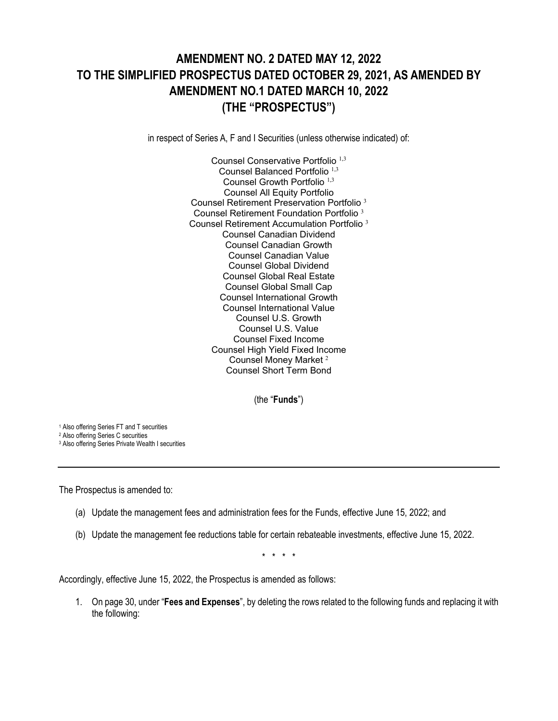## **AMENDMENT NO. 2 DATED MAY 12, 2022 TO THE SIMPLIFIED PROSPECTUS DATED OCTOBER 29, 2021, AS AMENDED BY AMENDMENT NO.1 DATED MARCH 10, 2022 (THE "PROSPECTUS")**

in respect of Series A, F and I Securities (unless otherwise indicated) of:

Counsel Conservative Portfolio 1,3 Counsel Balanced Portfolio<sup>1,3</sup> Counsel Growth Portfolio 1,3 Counsel All Equity Portfolio Counsel Retirement Preservation Portfolio <sup>3</sup> Counsel Retirement Foundation Portfolio <sup>3</sup> Counsel Retirement Accumulation Portfolio <sup>3</sup> Counsel Canadian Dividend Counsel Canadian Growth Counsel Canadian Value Counsel Global Dividend Counsel Global Real Estate Counsel Global Small Cap Counsel International Growth Counsel International Value Counsel U.S. Growth Counsel U.S. Value Counsel Fixed Income Counsel High Yield Fixed Income Counsel Money Market <sup>2</sup> Counsel Short Term Bond

(the "**Funds**")

<sup>1</sup> Also offering Series FT and T securities

<sup>2</sup> Also offering Series C securities

<sup>3</sup> Also offering Series Private Wealth I securities

The Prospectus is amended to:

- (a) Update the management fees and administration fees for the Funds, effective June 15, 2022; and
- (b) Update the management fee reductions table for certain rebateable investments, effective June 15, 2022.

\* \* \* \*

Accordingly, effective June 15, 2022, the Prospectus is amended as follows:

1. On page 30, under "**Fees and Expenses**", by deleting the rows related to the following funds and replacing it with the following: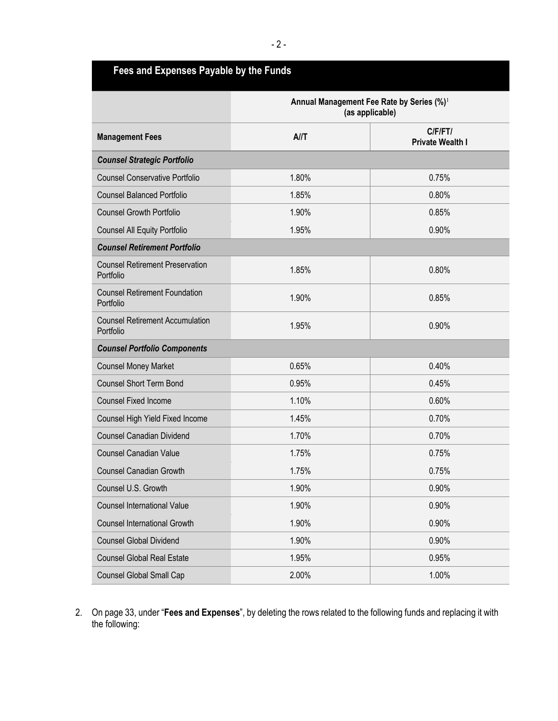| Fees and Expenses Payable by the Funds              |                                                                          |                                            |  |
|-----------------------------------------------------|--------------------------------------------------------------------------|--------------------------------------------|--|
|                                                     | Annual Management Fee Rate by Series (%) <sup>1</sup><br>(as applicable) |                                            |  |
| <b>Management Fees</b>                              | A/I                                                                      | $C$ $F$ $F$ $T$<br><b>Private Wealth I</b> |  |
| <b>Counsel Strategic Portfolio</b>                  |                                                                          |                                            |  |
| <b>Counsel Conservative Portfolio</b>               | 1.80%                                                                    | 0.75%                                      |  |
| <b>Counsel Balanced Portfolio</b>                   | 1.85%                                                                    | 0.80%                                      |  |
| <b>Counsel Growth Portfolio</b>                     | 1.90%                                                                    | 0.85%                                      |  |
| <b>Counsel All Equity Portfolio</b>                 | 1.95%                                                                    | 0.90%                                      |  |
| <b>Counsel Retirement Portfolio</b>                 |                                                                          |                                            |  |
| <b>Counsel Retirement Preservation</b><br>Portfolio | 1.85%                                                                    | 0.80%                                      |  |
| <b>Counsel Retirement Foundation</b><br>Portfolio   | 1.90%                                                                    | 0.85%                                      |  |
| <b>Counsel Retirement Accumulation</b><br>Portfolio | 1.95%                                                                    | 0.90%                                      |  |
| <b>Counsel Portfolio Components</b>                 |                                                                          |                                            |  |
| <b>Counsel Money Market</b>                         | 0.65%                                                                    | 0.40%                                      |  |
| <b>Counsel Short Term Bond</b>                      | 0.95%                                                                    | 0.45%                                      |  |
| <b>Counsel Fixed Income</b>                         | 1.10%                                                                    | 0.60%                                      |  |
| Counsel High Yield Fixed Income                     | 1.45%                                                                    | 0.70%                                      |  |
| <b>Counsel Canadian Dividend</b>                    | 1.70%                                                                    | 0.70%                                      |  |
| <b>Counsel Canadian Value</b>                       | 1.75%                                                                    | 0.75%                                      |  |
| <b>Counsel Canadian Growth</b>                      | 1.75%                                                                    | 0.75%                                      |  |
| Counsel U.S. Growth                                 | 1.90%                                                                    | 0.90%                                      |  |
| <b>Counsel International Value</b>                  | 1.90%                                                                    | 0.90%                                      |  |
| <b>Counsel International Growth</b>                 | 1.90%                                                                    | 0.90%                                      |  |
| <b>Counsel Global Dividend</b>                      | 1.90%                                                                    | 0.90%                                      |  |
| <b>Counsel Global Real Estate</b>                   | 1.95%                                                                    | 0.95%                                      |  |
| <b>Counsel Global Small Cap</b>                     | 2.00%                                                                    | 1.00%                                      |  |

2. On page 33, under "**Fees and Expenses**", by deleting the rows related to the following funds and replacing it with the following: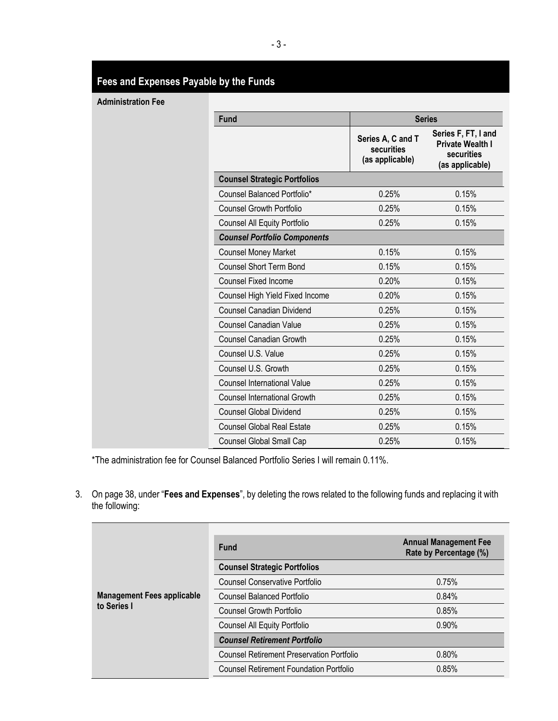## **Fees and Expenses Payable by the Funds**

**Administration Fee**

| <b>Fund</b>                         |                                                    | <b>Series</b>                                                                   |
|-------------------------------------|----------------------------------------------------|---------------------------------------------------------------------------------|
|                                     | Series A, C and T<br>securities<br>(as applicable) | Series F, FT, I and<br><b>Private Wealth I</b><br>securities<br>(as applicable) |
| <b>Counsel Strategic Portfolios</b> |                                                    |                                                                                 |
| Counsel Balanced Portfolio*         | 0.25%                                              | 0.15%                                                                           |
| <b>Counsel Growth Portfolio</b>     | 0.25%                                              | 0.15%                                                                           |
| <b>Counsel All Equity Portfolio</b> | 0.25%                                              | 0.15%                                                                           |
| <b>Counsel Portfolio Components</b> |                                                    |                                                                                 |
| <b>Counsel Money Market</b>         | 0.15%                                              | 0.15%                                                                           |
| <b>Counsel Short Term Bond</b>      | 0.15%                                              | 0.15%                                                                           |
| <b>Counsel Fixed Income</b>         | 0.20%                                              | 0.15%                                                                           |
| Counsel High Yield Fixed Income     | 0.20%                                              | 0.15%                                                                           |
| <b>Counsel Canadian Dividend</b>    | 0.25%                                              | 0.15%                                                                           |
| Counsel Canadian Value              | 0.25%                                              | 0.15%                                                                           |
| <b>Counsel Canadian Growth</b>      | 0.25%                                              | 0.15%                                                                           |
| Counsel U.S. Value                  | 0.25%                                              | 0.15%                                                                           |
| Counsel U.S. Growth                 | 0.25%                                              | 0.15%                                                                           |
| <b>Counsel International Value</b>  | 0.25%                                              | 0.15%                                                                           |
| <b>Counsel International Growth</b> | 0.25%                                              | 0.15%                                                                           |
| <b>Counsel Global Dividend</b>      | 0.25%                                              | 0.15%                                                                           |
| <b>Counsel Global Real Estate</b>   | 0.25%                                              | 0.15%                                                                           |
| Counsel Global Small Cap            | 0.25%                                              | 0.15%                                                                           |

\*The administration fee for Counsel Balanced Portfolio Series I will remain 0.11%.

3. On page 38, under "**Fees and Expenses**", by deleting the rows related to the following funds and replacing it with the following:

|                                                  | <b>Fund</b>                                      | <b>Annual Management Fee</b><br>Rate by Percentage (%) |
|--------------------------------------------------|--------------------------------------------------|--------------------------------------------------------|
|                                                  | <b>Counsel Strategic Portfolios</b>              |                                                        |
|                                                  | Counsel Conservative Portfolio                   | 0.75%                                                  |
| <b>Management Fees applicable</b><br>to Series I | <b>Counsel Balanced Portfolio</b>                | 0.84%                                                  |
|                                                  | <b>Counsel Growth Portfolio</b>                  | 0.85%                                                  |
|                                                  | <b>Counsel All Equity Portfolio</b>              | 0.90%                                                  |
|                                                  | <b>Counsel Retirement Portfolio</b>              |                                                        |
|                                                  | <b>Counsel Retirement Preservation Portfolio</b> | 0.80%                                                  |
|                                                  | Counsel Retirement Foundation Portfolio          | 0.85%                                                  |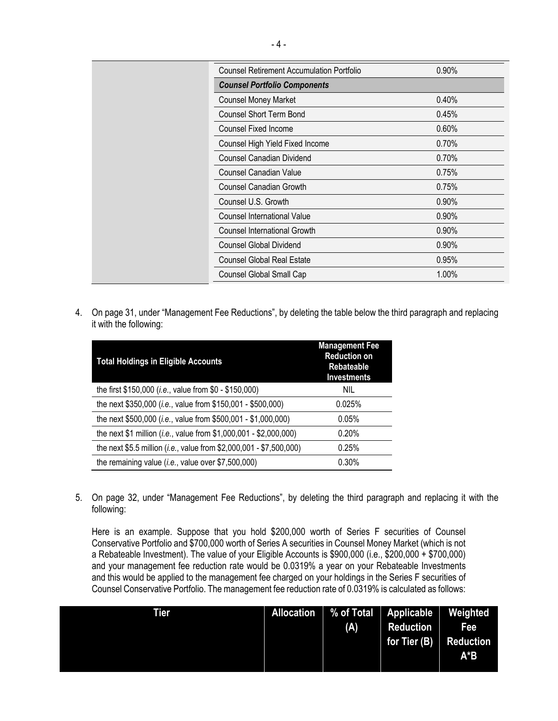| <b>Counsel Retirement Accumulation Portfolio</b> | 0.90% |
|--------------------------------------------------|-------|
| <b>Counsel Portfolio Components</b>              |       |
| <b>Counsel Money Market</b>                      | 0.40% |
| <b>Counsel Short Term Bond</b>                   | 0.45% |
| <b>Counsel Fixed Income</b>                      | 0.60% |
| Counsel High Yield Fixed Income                  | 0.70% |
| <b>Counsel Canadian Dividend</b>                 | 0.70% |
| <b>Counsel Canadian Value</b>                    | 0.75% |
| <b>Counsel Canadian Growth</b>                   | 0.75% |
| Counsel U.S. Growth                              | 0.90% |
| Counsel International Value                      | 0.90% |
| <b>Counsel International Growth</b>              | 0.90% |
| <b>Counsel Global Dividend</b>                   | 0.90% |
| <b>Counsel Global Real Estate</b>                | 0.95% |
| Counsel Global Small Cap                         | 1.00% |

4. On page 31, under "Management Fee Reductions", by deleting the table below the third paragraph and replacing it with the following:

| <b>Total Holdings in Eligible Accounts</b>                                   | <b>Management Fee</b><br><b>Reduction on</b><br><b>Rebateable</b><br><b>Investments</b> |
|------------------------------------------------------------------------------|-----------------------------------------------------------------------------------------|
| the first \$150,000 ( <i>i.e.</i> , value from \$0 - \$150,000)              | nil                                                                                     |
| the next \$350,000 (i.e., value from \$150,001 - \$500,000)                  | 0.025%                                                                                  |
| the next \$500,000 (i.e., value from \$500,001 - \$1,000,000)                | 0.05%                                                                                   |
| the next \$1 million ( <i>i.e.</i> , value from \$1,000,001 - \$2,000,000)   | 0.20%                                                                                   |
| the next \$5.5 million ( <i>i.e.</i> , value from \$2,000,001 - \$7,500,000) | 0.25%                                                                                   |
| the remaining value (i.e., value over \$7,500,000)                           | 0.30%                                                                                   |

5. On page 32, under "Management Fee Reductions", by deleting the third paragraph and replacing it with the following:

Here is an example. Suppose that you hold \$200,000 worth of Series F securities of Counsel Conservative Portfolio and \$700,000 worth of Series A securities in Counsel Money Market (which is not a Rebateable Investment). The value of your Eligible Accounts is \$900,000 (i.e., \$200,000 + \$700,000) and your management fee reduction rate would be 0.0319% a year on your Rebateable Investments and this would be applied to the management fee charged on your holdings in the Series F securities of Counsel Conservative Portfolio. The management fee reduction rate of 0.0319% is calculated as follows:

| <b>Tier</b> | Allocation % of Total Applicable |                        | Weighted |
|-------------|----------------------------------|------------------------|----------|
|             | (A)                              | <b>Reduction</b>       | Fee      |
|             |                                  | for Tier (B) Reduction |          |
|             |                                  |                        | A*B      |
|             |                                  |                        |          |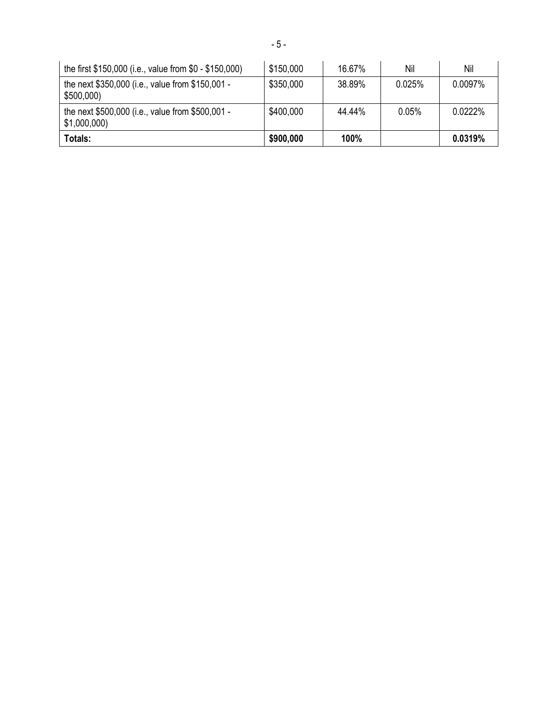| the first \$150,000 (i.e., value from \$0 - \$150,000)          | \$150,000 | 16.67% | Nil      | Nil     |
|-----------------------------------------------------------------|-----------|--------|----------|---------|
| the next \$350,000 (i.e., value from \$150,001 -<br>\$500,000   | \$350,000 | 38.89% | 0.025%   | 0.0097% |
| the next \$500,000 (i.e., value from \$500,001 -<br>\$1,000,000 | \$400,000 | 44.44% | $0.05\%$ | 0.0222% |
| Totals:                                                         | \$900,000 | 100%   |          | 0.0319% |